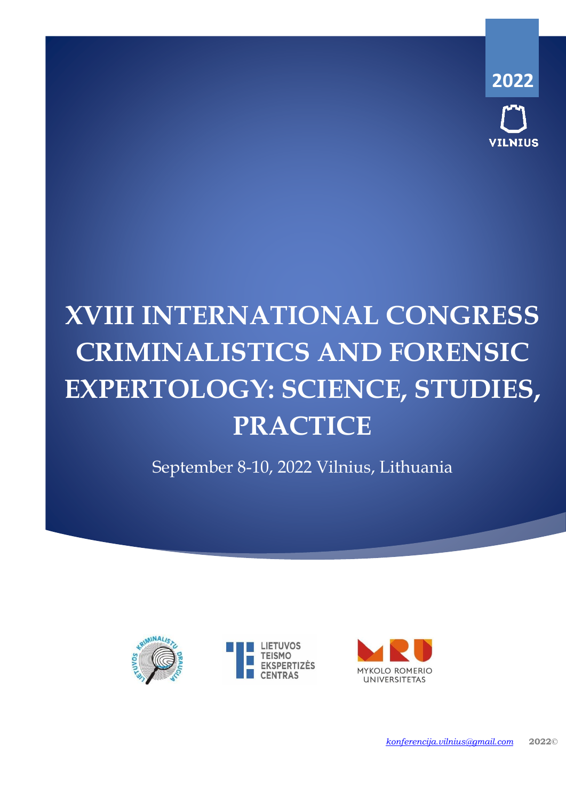**2022 ILNIUS** 

# **XVIII INTERNATIONAL CONGRESS CRIMINALISTICS AND FORENSIC EXPERTOLOGY: SCIENCE, STUDIES, PRACTICE**

September 8-10, 2022 Vilnius, Lithuania



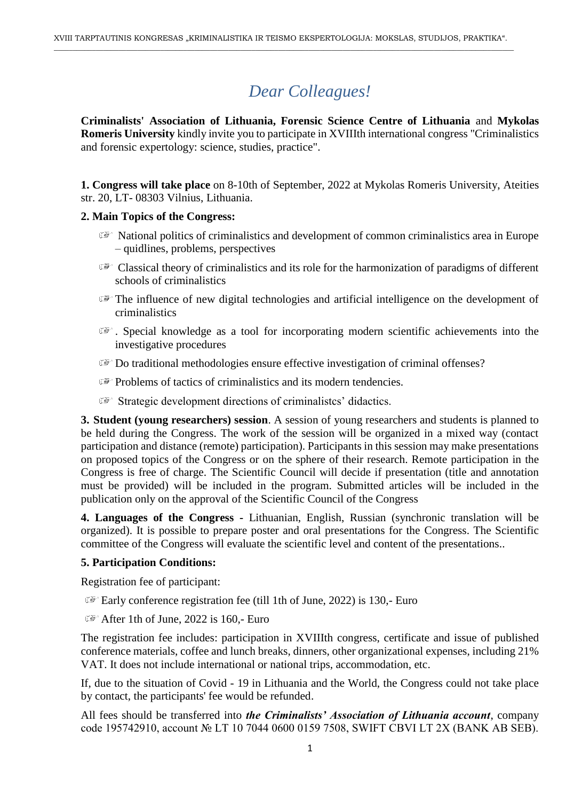# *Dear Colleagues!*

**Criminalists' Association of Lithuania, Forensic Science Centre of Lithuania** and **Mykolas Romeris University** kindly invite you to participate in XVIIIth international congress "Criminalistics and forensic expertology: science, studies, practice".

**1. Congress will take place** on 8-10th of September, 2022 at Mykolas Romeris University, Ateities str. 20, LT- 08303 Vilnius, Lithuania.

### **2. Main Topics of the Congress:**

- National politics of criminalistics and development of common criminalistics area in Europe – quidlines, problems, perspectives
- $\mathbb{C}^*$  Classical theory of criminalistics and its role for the harmonization of paradigms of different schools of criminalistics
- The influence of new digital technologies and artificial intelligence on the development of criminalistics
- . Special knowledge as a tool for incorporating modern scientific achievements into the investigative procedures
- Do traditional methodologies ensure effective investigation of criminal offenses?
- $\mathbb{F}$  Problems of tactics of criminalistics and its modern tendencies.
- **Strategic development directions of criminalistes' didactics.**

**3. Student (young researchers) session**. A session of young researchers and students is planned to be held during the Congress. The work of the session will be organized in a mixed way (contact participation and distance (remote) participation). Participants in this session may make presentations on proposed topics of the Congress or on the sphere of their research. Remote participation in the Congress is free of charge. The Scientific Council will decide if presentation (title and annotation must be provided) will be included in the program. Submitted articles will be included in the publication only on the approval of the Scientific Council of the Congress

**4. Languages of the Congress -** Lithuanian, English, Russian (synchronic translation will be organized). It is possible to prepare poster and oral presentations for the Congress. The Scientific committee of the Congress will evaluate the scientific level and content of the presentations..

#### **5. Participation Conditions:**

Registration fee of participant:

- $E^*$  Early conference registration fee (till 1th of June, 2022) is 130,- Euro
- $\mathbb{R}$  After 1th of June, 2022 is 160.- Euro

The registration fee includes: participation in XVIIIth congress, certificate and issue of published conference materials, coffee and lunch breaks, dinners, other organizational expenses, including 21% VAT. It does not include international or national trips, accommodation, etc.

If, due to the situation of Covid - 19 in Lithuania and the World, the Congress could not take place by contact, the participants' fee would be refunded.

All fees should be transferred into *the Criminalists' Association of Lithuania account*, company code 195742910, account № LT 10 7044 0600 0159 7508, SWIFT CBVI LT 2X (BANK AB SEB).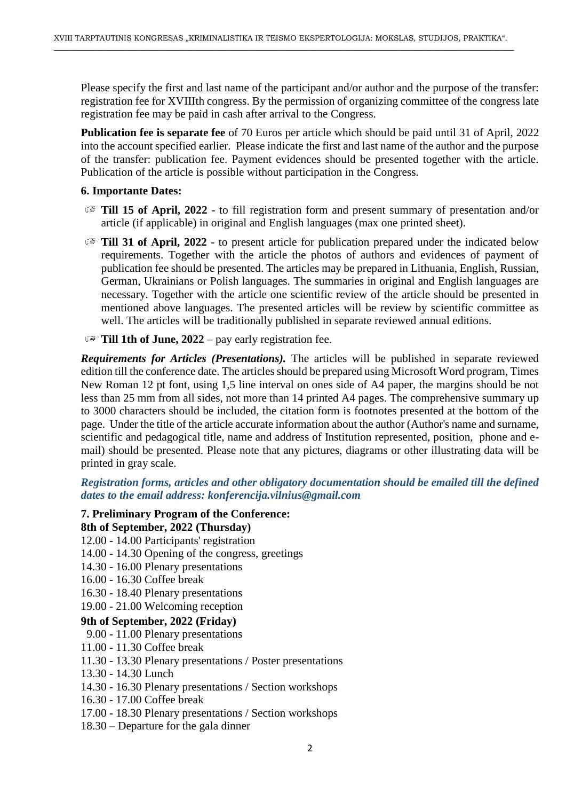Please specify the first and last name of the participant and/or author and the purpose of the transfer: registration fee for XVIIIth congress. By the permission of organizing committee of the congress late registration fee may be paid in cash after arrival to the Congress.

**Publication fee is separate fee** of 70 Euros per article which should be paid until 31 of April, 2022 into the account specified earlier. Please indicate the first and last name of the author and the purpose of the transfer: publication fee. Payment evidences should be presented together with the article. Publication of the article is possible without participation in the Congress.

# **6. Importante Dates:**

- **Till 15 of April, 2022** to fill registration form and present summary of presentation and/or article (if applicable) in original and English languages (max one printed sheet).
- **Till 31 of April, 2022** to present article for publication prepared under the indicated below requirements. Together with the article the photos of authors and evidences of payment of publication fee should be presented. The articles may be prepared in Lithuania, English, Russian, German, Ukrainians or Polish languages. The summaries in original and English languages are necessary. Together with the article one scientific review of the article should be presented in mentioned above languages. The presented articles will be review by scientific committee as well. The articles will be traditionally published in separate reviewed annual editions.

### **Till 1th of June, 2022** – pay early registration fee.

*Requirements for Articles (Presentations).* The articles will be published in separate reviewed edition till the conference date. The articles should be prepared using Microsoft Word program, Times New Roman 12 pt font, using 1,5 line interval on ones side of A4 paper, the margins should be not less than 25 mm from all sides, not more than 14 printed A4 pages. The comprehensive summary up to 3000 characters should be included, the citation form is footnotes presented at the bottom of the page. Under the title of the article accurate information about the author (Author's name and surname, scientific and pedagogical title, name and address of Institution represented, position, phone and email) should be presented. Please note that any pictures, diagrams or other illustrating data will be printed in gray scale.

# *Registration forms, articles and other obligatory documentation should be emailed till the defined dates to the email address: konferencija.vilnius@gmail.com*

#### **7. Preliminary Program of the Conference:**

#### **8th of September, 2022 (Thursday)**

- 12.00 14.00 Participants' registration
- 14.00 14.30 Opening of the congress, greetings
- 14.30 16.00 Plenary presentations
- 16.00 16.30 Coffee break
- 16.30 18.40 Plenary presentations
- 19.00 21.00 Welcoming reception

### **9th of September, 2022 (Friday)**

- 9.00 11.00 Plenary presentations
- 11.00 11.30 Coffee break
- 11.30 13.30 Plenary presentations / Poster presentations
- 13.30 14.30 Lunch
- 14.30 16.30 Plenary presentations / Section workshops
- 16.30 17.00 Coffee break
- 17.00 18.30 Plenary presentations / Section workshops
- 18.30 Departure for the gala dinner